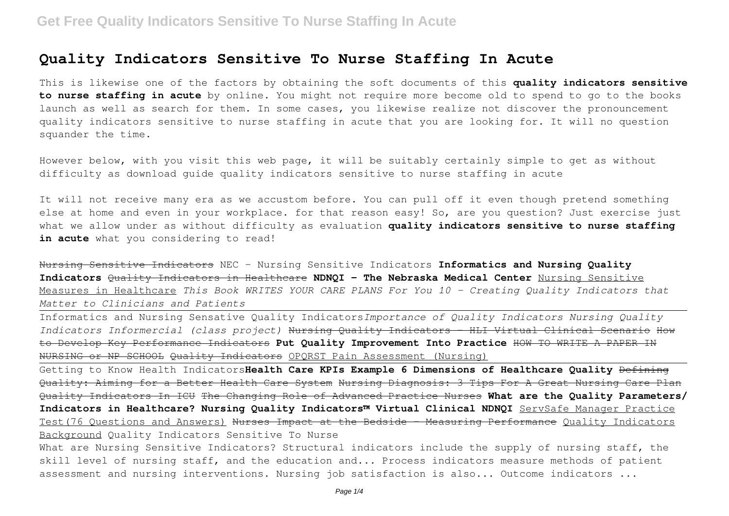# **Quality Indicators Sensitive To Nurse Staffing In Acute**

This is likewise one of the factors by obtaining the soft documents of this **quality indicators sensitive to nurse staffing in acute** by online. You might not require more become old to spend to go to the books launch as well as search for them. In some cases, you likewise realize not discover the pronouncement quality indicators sensitive to nurse staffing in acute that you are looking for. It will no question squander the time.

However below, with you visit this web page, it will be suitably certainly simple to get as without difficulty as download guide quality indicators sensitive to nurse staffing in acute

It will not receive many era as we accustom before. You can pull off it even though pretend something else at home and even in your workplace. for that reason easy! So, are you question? Just exercise just what we allow under as without difficulty as evaluation **quality indicators sensitive to nurse staffing** in acute what you considering to read!

Nursing Sensitive Indicators NEC - Nursing Sensitive Indicators **Informatics and Nursing Quality Indicators** Quality Indicators in Healthcare **NDNQI - The Nebraska Medical Center** Nursing Sensitive Measures in Healthcare *This Book WRITES YOUR CARE PLANS For You 10 - Creating Quality Indicators that Matter to Clinicians and Patients*

Informatics and Nursing Sensative Quality Indicators*Importance of Quality Indicators Nursing Quality Indicators Informercial (class project)* Nursing Quality Indicators - HLI Virtual Clinical Scenario How to Develop Key Performance Indicators **Put Quality Improvement Into Practice** HOW TO WRITE A PAPER IN NURSING or NP SCHOOL Quality Indicators OPQRST Pain Assessment (Nursing)

Getting to Know Health Indicators**Health Care KPIs Example 6 Dimensions of Healthcare Quality** Defining Quality: Aiming for a Better Health Care System Nursing Diagnosis: 3 Tips For A Great Nursing Care Plan Quality Indicators In ICU The Changing Role of Advanced Practice Nurses **What are the Quality Parameters/ Indicators in Healthcare? Nursing Quality Indicators™ Virtual Clinical NDNQI** ServSafe Manager Practice Test(76 Ouestions and Answers) <del>Nurses Impact at the Bedside - Measuring Performance</del> Ouality Indicators Background Quality Indicators Sensitive To Nurse

What are Nursing Sensitive Indicators? Structural indicators include the supply of nursing staff, the skill level of nursing staff, and the education and... Process indicators measure methods of patient assessment and nursing interventions. Nursing job satisfaction is also... Outcome indicators ...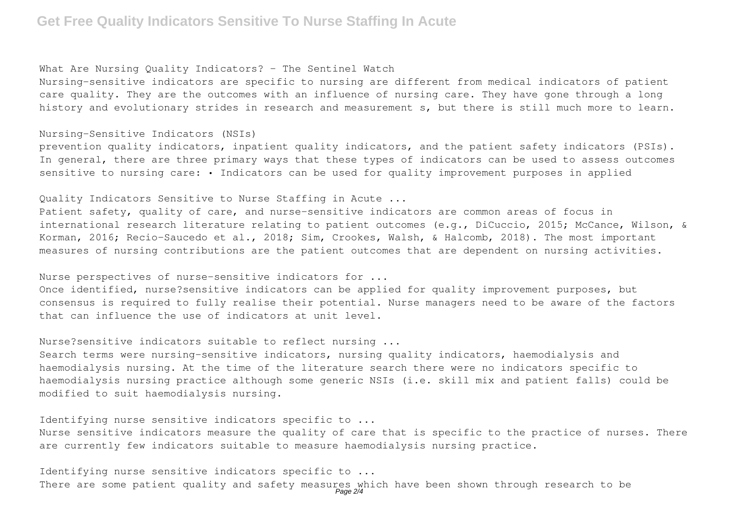# **Get Free Quality Indicators Sensitive To Nurse Staffing In Acute**

### What Are Nursing Ouality Indicators? - The Sentinel Watch

Nursing-sensitive indicators are specific to nursing are different from medical indicators of patient care quality. They are the outcomes with an influence of nursing care. They have gone through a long history and evolutionary strides in research and measurement s, but there is still much more to learn.

#### Nursing-Sensitive Indicators (NSIs)

prevention quality indicators, inpatient quality indicators, and the patient safety indicators (PSIs). In general, there are three primary ways that these types of indicators can be used to assess outcomes sensitive to nursing care: • Indicators can be used for quality improvement purposes in applied

### Quality Indicators Sensitive to Nurse Staffing in Acute ...

Patient safety, quality of care, and nurse-sensitive indicators are common areas of focus in international research literature relating to patient outcomes (e.g., DiCuccio, 2015; McCance, Wilson, & Korman, 2016; Recio-Saucedo et al., 2018; Sim, Crookes, Walsh, & Halcomb, 2018). The most important measures of nursing contributions are the patient outcomes that are dependent on nursing activities.

### Nurse perspectives of nurse-sensitive indicators for ...

Once identified, nurse?sensitive indicators can be applied for quality improvement purposes, but consensus is required to fully realise their potential. Nurse managers need to be aware of the factors that can influence the use of indicators at unit level.

### Nurse?sensitive indicators suitable to reflect nursing ...

Search terms were nursing-sensitive indicators, nursing quality indicators, haemodialysis and haemodialysis nursing. At the time of the literature search there were no indicators specific to haemodialysis nursing practice although some generic NSIs (i.e. skill mix and patient falls) could be modified to suit haemodialysis nursing.

### Identifying nurse sensitive indicators specific to ...

Nurse sensitive indicators measure the quality of care that is specific to the practice of nurses. There are currently few indicators suitable to measure haemodialysis nursing practice.

Identifying nurse sensitive indicators specific to ... There are some patient quality and safety measures which have been shown through research to be<br>Page 2/4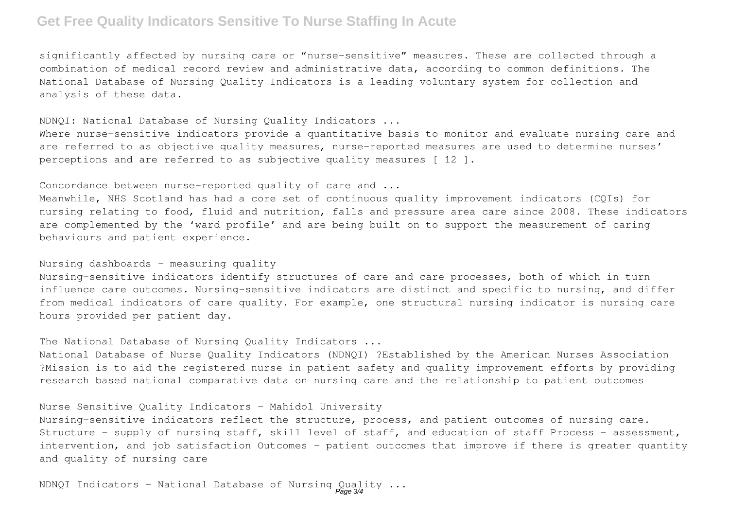# **Get Free Quality Indicators Sensitive To Nurse Staffing In Acute**

significantly affected by nursing care or "nurse-sensitive" measures. These are collected through a combination of medical record review and administrative data, according to common definitions. The National Database of Nursing Quality Indicators is a leading voluntary system for collection and analysis of these data.

NDNQI: National Database of Nursing Quality Indicators ...

Where nurse-sensitive indicators provide a quantitative basis to monitor and evaluate nursing care and are referred to as objective quality measures, nurse-reported measures are used to determine nurses' perceptions and are referred to as subjective quality measures [ 12 ].

Concordance between nurse-reported quality of care and ...

Meanwhile, NHS Scotland has had a core set of continuous quality improvement indicators (CQIs) for nursing relating to food, fluid and nutrition, falls and pressure area care since 2008. These indicators are complemented by the 'ward profile' and are being built on to support the measurement of caring behaviours and patient experience.

## Nursing dashboards - measuring quality

Nursing-sensitive indicators identify structures of care and care processes, both of which in turn influence care outcomes. Nursing-sensitive indicators are distinct and specific to nursing, and differ from medical indicators of care quality. For example, one structural nursing indicator is nursing care hours provided per patient day.

The National Database of Nursing Quality Indicators ...

National Database of Nurse Quality Indicators (NDNQI) ?Established by the American Nurses Association ?Mission is to aid the registered nurse in patient safety and quality improvement efforts by providing research based national comparative data on nursing care and the relationship to patient outcomes

Nurse Sensitive Quality Indicators - Mahidol University

Nursing-sensitive indicators reflect the structure, process, and patient outcomes of nursing care. Structure - supply of nursing staff, skill level of staff, and education of staff Process - assessment, intervention, and job satisfaction Outcomes - patient outcomes that improve if there is greater quantity and quality of nursing care

NDNQI Indicators - National Database of Nursing Quality ...